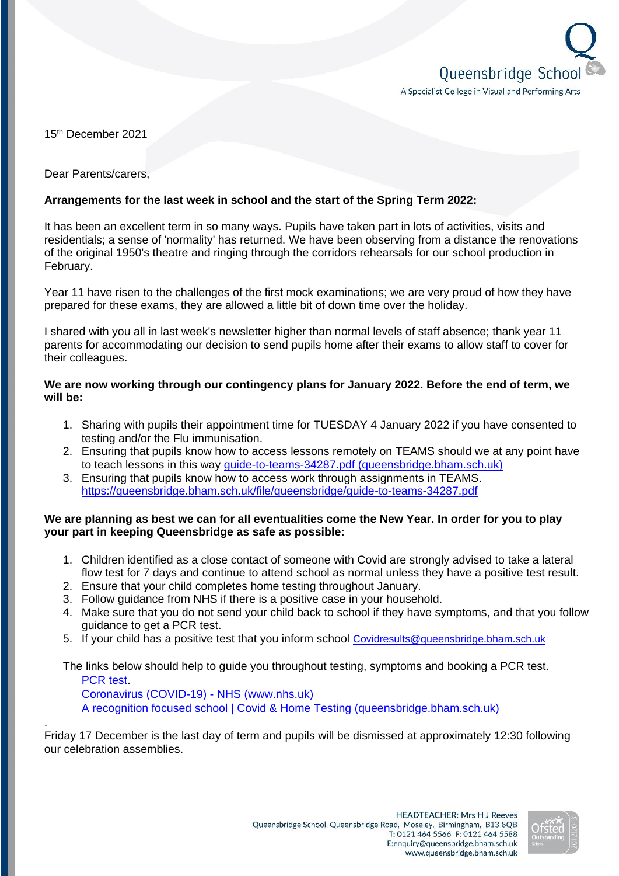

15th December 2021

Dear Parents/carers,

## **Arrangements for the last week in school and the start of the Spring Term 2022:**

It has been an excellent term in so many ways. Pupils have taken part in lots of activities, visits and residentials; a sense of 'normality' has returned. We have been observing from a distance the renovations of the original 1950's theatre and ringing through the corridors rehearsals for our school production in February.

Year 11 have risen to the challenges of the first mock examinations; we are very proud of how they have prepared for these exams, they are allowed a little bit of down time over the holiday.

I shared with you all in last week's newsletter higher than normal levels of staff absence; thank year 11 parents for accommodating our decision to send pupils home after their exams to allow staff to cover for their colleagues.

### **We are now working through our contingency plans for January 2022. Before the end of term, we will be:**

- 1. Sharing with pupils their appointment time for TUESDAY 4 January 2022 if you have consented to testing and/or the Flu immunisation.
- 2. Ensuring that pupils know how to access lessons remotely on TEAMS should we at any point have to teach lessons in this way [guide-to-teams-34287.pdf \(queensbridge.bham.sch.uk\)](https://queensbridge.bham.sch.uk/file/queensbridge/guide-to-teams-34287.pdf)
- 3. Ensuring that pupils know how to access work through assignments in TEAMS. <https://queensbridge.bham.sch.uk/file/queensbridge/guide-to-teams-34287.pdf>

#### **We are planning as best we can for all eventualities come the New Year. In order for you to play your part in keeping Queensbridge as safe as possible:**

- 1. Children identified as a close contact of someone with Covid are strongly advised to take a lateral flow test for 7 days and continue to attend school as normal unless they have a positive test result.
- 2. Ensure that your child completes home testing throughout January.
- 3. Follow guidance from NHS if there is a positive case in your household.
- 4. Make sure that you do not send your child back to school if they have symptoms, and that you follow guidance to get a PCR test.
- 5. If your child has a positive test that you inform school [Covidresults@queensbridge.bham.sch.uk](mailto:Covidresults@queensbridge.bham.sch.uk)

The links below should help to guide you throughout testing, symptoms and booking a PCR test. [PCR test.](https://www.gov.uk/get-coronavirus-test) [Coronavirus \(COVID-19\) -](https://www.nhs.uk/conditions/coronavirus-covid-19/) NHS (www.nhs.uk)

[A recognition focused school | Covid & Home Testing \(queensbridge.bham.sch.uk\)](https://www.queensbridge.bham.sch.uk/parents/covid-update)

. Friday 17 December is the last day of term and pupils will be dismissed at approximately 12:30 following our celebration assemblies.

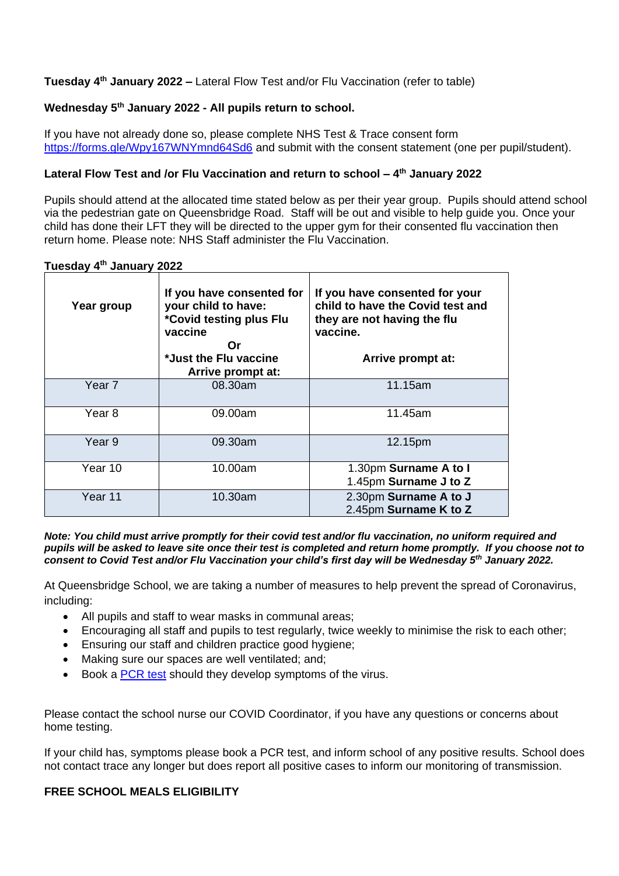**Tuesday 4 th January 2022 –** Lateral Flow Test and/or Flu Vaccination (refer to table)

# **Wednesday 5th January 2022 - All pupils return to school.**

If you have not already done so, please complete NHS Test & Trace consent form <https://forms.gle/Wpy167WNYmnd64Sd6> and submit with the consent statement (one per pupil/student).

### **Lateral Flow Test and /or Flu Vaccination and return to school – 4 th January 2022**

Pupils should attend at the allocated time stated below as per their year group. Pupils should attend school via the pedestrian gate on Queensbridge Road. Staff will be out and visible to help guide you. Once your child has done their LFT they will be directed to the upper gym for their consented flu vaccination then return home. Please note: NHS Staff administer the Flu Vaccination.

| Tuesday 4 <sup>th</sup> January 2022 |  |  |  |
|--------------------------------------|--|--|--|
|--------------------------------------|--|--|--|

| Year group | If you have consented for<br>your child to have:<br>*Covid testing plus Flu<br>vaccine<br>Or<br>*Just the Flu vaccine<br>Arrive prompt at: | If you have consented for your<br>child to have the Covid test and<br>they are not having the flu<br>vaccine.<br>Arrive prompt at: |
|------------|--------------------------------------------------------------------------------------------------------------------------------------------|------------------------------------------------------------------------------------------------------------------------------------|
| Year 7     | 08.30am                                                                                                                                    | 11.15am                                                                                                                            |
| Year 8     | 09.00am                                                                                                                                    | 11.45am                                                                                                                            |
| Year 9     | 09.30am                                                                                                                                    | 12.15pm                                                                                                                            |
| Year 10    | 10.00am                                                                                                                                    | 1.30pm Surname A to I<br>1.45pm Surname J to Z                                                                                     |
| Year 11    | 10.30am                                                                                                                                    | 2.30pm Surname A to J<br>2.45pm Surname K to Z                                                                                     |

*Note: You child must arrive promptly for their covid test and/or flu vaccination, no uniform required and pupils will be asked to leave site once their test is completed and return home promptly. If you choose not to consent to Covid Test and/or Flu Vaccination your child's first day will be Wednesday 5th January 2022.*

At Queensbridge School, we are taking a number of measures to help prevent the spread of Coronavirus, including:

- All pupils and staff to wear masks in communal areas;
- Encouraging all staff and pupils to test regularly, twice weekly to minimise the risk to each other;
- Ensuring our staff and children practice good hygiene:
- Making sure our spaces are well ventilated; and;
- Book a [PCR test](https://www.gov.uk/get-coronavirus-test) should they develop symptoms of the virus.

Please contact the school nurse our COVID Coordinator, if you have any questions or concerns about home testing.

If your child has, symptoms please book a PCR test, and inform school of any positive results. School does not contact trace any longer but does report all positive cases to inform our monitoring of transmission.

### **FREE SCHOOL MEALS ELIGIBILITY**